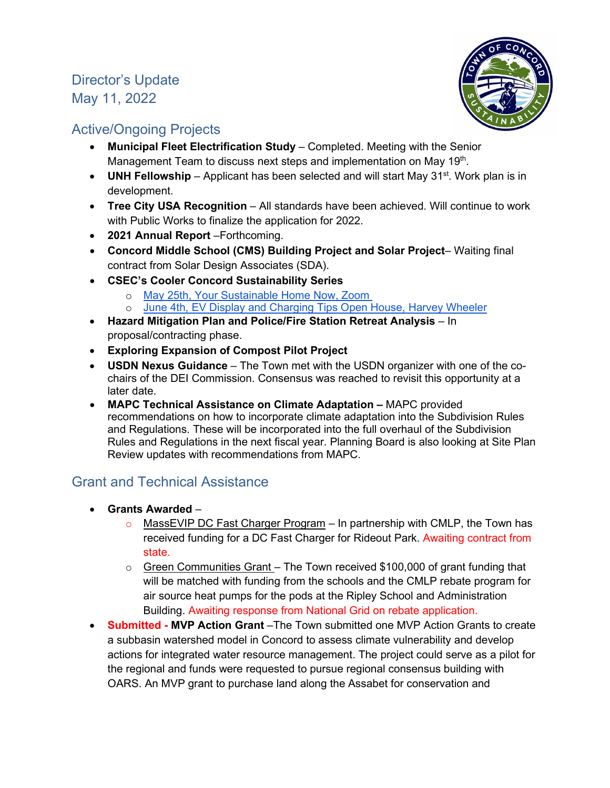# Director's Update May 11, 2022



## Active/Ongoing Projects

- **Municipal Fleet Electrification Study** Completed. Meeting with the Senior Management Team to discuss next steps and implementation on May 19th.
- **UNH Fellowship** Applicant has been selected and will start May 31<sup>st</sup>. Work plan is in development.
- **Tree City USA Recognition**  All standards have been achieved. Will continue to work with Public Works to finalize the application for 2022.
- **2021 Annual Report** –Forthcoming.
- **Concord Middle School (CMS) Building Project and Solar Project** Waiting final contract from Solar Design Associates (SDA).
- **CSEC's Cooler Concord Sustainability Series** 
	- o May 25th, Your Sustainable Home Now, Zoom
	- o June 4th, EV Display and Charging Tips Open House, Harvey Wheeler
- **Hazard Mitigation Plan and Police/Fire Station Retreat Analysis** In proposal/contracting phase.
- **Exploring Expansion of Compost Pilot Project**
- **USDN Nexus Guidance** The Town met with the USDN organizer with one of the cochairs of the DEI Commission. Consensus was reached to revisit this opportunity at a later date.
- **MAPC Technical Assistance on Climate Adaptation** MAPC provided recommendations on how to incorporate climate adaptation into the Subdivision Rules and Regulations. These will be incorporated into the full overhaul of the Subdivision Rules and Regulations in the next fiscal year. Planning Board is also looking at Site Plan Review updates with recommendations from MAPC.

## Grant and Technical Assistance

- **Grants Awarded**
	- o MassEVIP DC Fast Charger Program In partnership with CMLP, the Town has received funding for a DC Fast Charger for Rideout Park. Awaiting contract from state.
	- o Green Communities Grant The Town received \$100,000 of grant funding that will be matched with funding from the schools and the CMLP rebate program for air source heat pumps for the pods at the Ripley School and Administration Building. Awaiting response from National Grid on rebate application.
- **Submitted MVP Action Grant** –The Town submitted one MVP Action Grants to create a subbasin watershed model in Concord to assess climate vulnerability and develop actions for integrated water resource management. The project could serve as a pilot for the regional and funds were requested to pursue regional consensus building with OARS. An MVP grant to purchase land along the Assabet for conservation and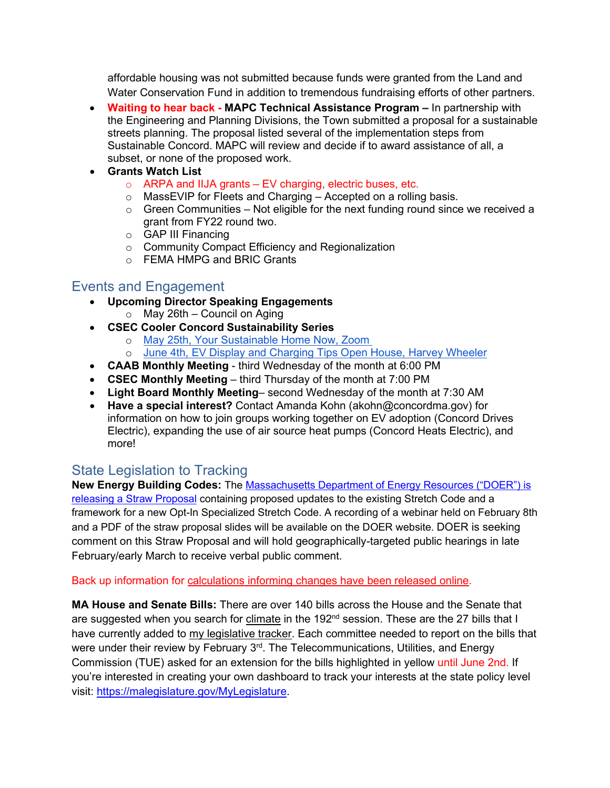affordable housing was not submitted because funds were granted from the Land and Water Conservation Fund in addition to tremendous fundraising efforts of other partners.

- **Waiting to hear back - MAPC Technical Assistance Program –** In partnership with the Engineering and Planning Divisions, the Town submitted a proposal for a sustainable streets planning. The proposal listed several of the implementation steps from Sustainable Concord. MAPC will review and decide if to award assistance of all, a subset, or none of the proposed work.
- **Grants Watch List** 
	- $\circ$  ARPA and IIJA grants EV charging, electric buses, etc.
	- o MassEVIP for Fleets and Charging Accepted on a rolling basis.
	- $\circ$  Green Communities Not eligible for the next funding round since we received a grant from FY22 round two.
	- o GAP III Financing
	- o Community Compact Efficiency and Regionalization
	- o FEMA HMPG and BRIC Grants

## Events and Engagement

- **Upcoming Director Speaking Engagements** 
	- $\circ$  May 26th Council on Aging
- **CSEC Cooler Concord Sustainability Series**
	- o [May 25th, Your Sustainable Home Now, Zoom](https://www.coolerconcord.org/events/323)
	- o [June 4th, EV Display and Charging Tips Open House, Harvey Wheeler](https://www.coolerconcord.org/events/325)
- **CAAB Monthly Meeting** third Wednesday of the month at 6:00 PM
- **CSEC Monthly Meeting** third Thursday of the month at 7:00 PM
- **Light Board Monthly Meeting** second Wednesday of the month at 7:30 AM
- **Have a special interest?** Contact Amanda Kohn (akohn@concordma.gov) for information on how to join groups working together on EV adoption (Concord Drives Electric), expanding the use of air source heat pumps (Concord Heats Electric), and more!

## State Legislation to Tracking

**New Energy Building Codes:** The [Massachusetts Department of Energy Resources \("DOER"\) is](https://www.mass.gov/info-details/stretch-energy-code-development-2022)  [releasing a Straw Proposal](https://www.mass.gov/info-details/stretch-energy-code-development-2022) containing proposed updates to the existing Stretch Code and a framework for a new Opt-In Specialized Stretch Code. A recording of a webinar held on February 8th and a PDF of the straw proposal slides will be available on the DOER website. DOER is seeking comment on this Straw Proposal and will hold geographically-targeted public hearings in late February/early March to receive verbal public comment.

#### Back up information for [calculations informing changes have been released](https://www.mass.gov/info-details/stretch-energy-code-development-2022#new!---stretch-code-backup-information-%E2%80%93-early-release-) online.

**MA House and Senate Bills:** There are over 140 bills across the House and the Senate that are suggested when you search for [climate](https://malegislature.gov/Bills/Search?searchTerms=climate) in the 192<sup>nd</sup> session. These are the 27 bills that I have currently added to [my legislative tracker.](https://malegislature.gov/MyLegislature) Each committee needed to report on the bills that were under their review by February 3<sup>rd</sup>. The Telecommunications, Utilities, and Energy Commission (TUE) asked for an extension for the bills highlighted in yellow until June 2nd. If you're interested in creating your own dashboard to track your interests at the state policy level visit: [https://malegislature.gov/MyLegislature.](https://malegislature.gov/MyLegislature)